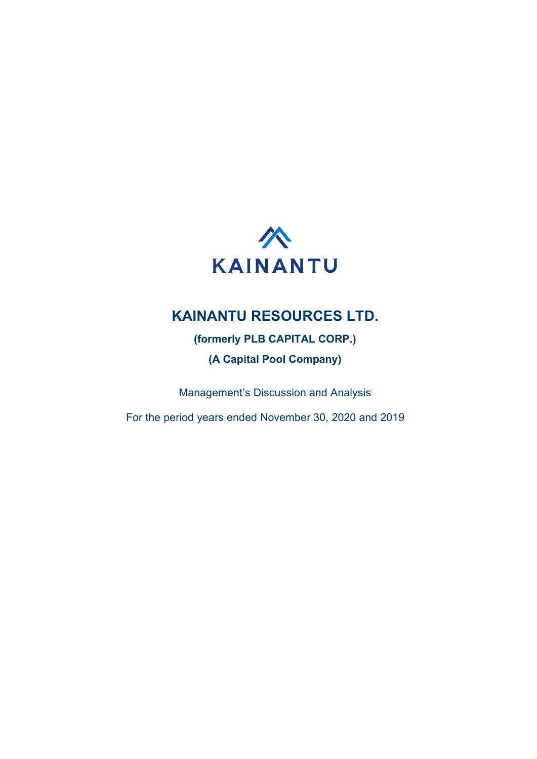

# KAINANTU RESOURCES LTD.

(formerly PLB CAPITAL CORP.)

(A Capital Pool Company)

Management's Discussion and Analysis

For the period years ended November 30, 2020 and 2019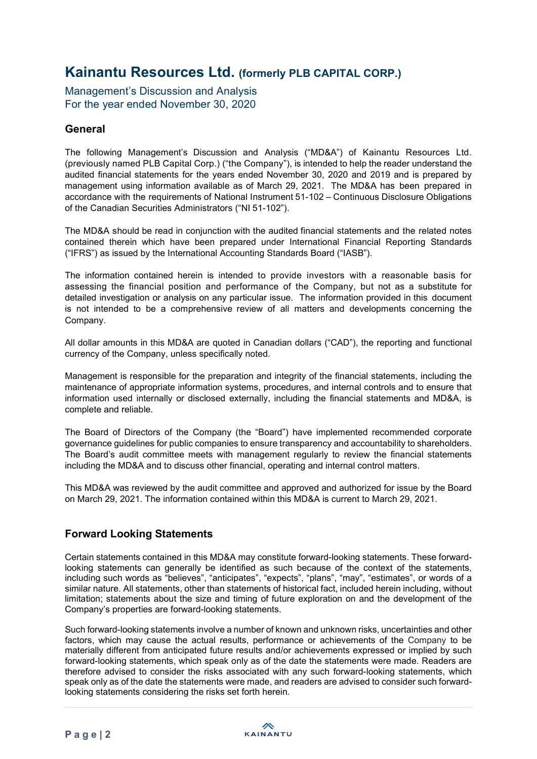Management's Discussion and Analysis For the year ended November 30, 2020

## **General**

The following Management's Discussion and Analysis ("MD&A") of Kainantu Resources Ltd. (previously named PLB Capital Corp.) ("the Company"), is intended to help the reader understand the audited financial statements for the years ended November 30, 2020 and 2019 and is prepared by management using information available as of March 29, 2021. The MD&A has been prepared in accordance with the requirements of National Instrument 51-102 – Continuous Disclosure Obligations of the Canadian Securities Administrators ("NI 51-102").

The MD&A should be read in conjunction with the audited financial statements and the related notes contained therein which have been prepared under International Financial Reporting Standards ("IFRS") as issued by the International Accounting Standards Board ("IASB").

The information contained herein is intended to provide investors with a reasonable basis for assessing the financial position and performance of the Company, but not as a substitute for detailed investigation or analysis on any particular issue. The information provided in this document is not intended to be a comprehensive review of all matters and developments concerning the Company.

All dollar amounts in this MD&A are quoted in Canadian dollars ("CAD"), the reporting and functional currency of the Company, unless specifically noted.

Management is responsible for the preparation and integrity of the financial statements, including the maintenance of appropriate information systems, procedures, and internal controls and to ensure that information used internally or disclosed externally, including the financial statements and MD&A, is complete and reliable.

The Board of Directors of the Company (the "Board") have implemented recommended corporate governance guidelines for public companies to ensure transparency and accountability to shareholders. The Board's audit committee meets with management regularly to review the financial statements including the MD&A and to discuss other financial, operating and internal control matters.

This MD&A was reviewed by the audit committee and approved and authorized for issue by the Board on March 29, 2021. The information contained within this MD&A is current to March 29, 2021.

## Forward Looking Statements

Certain statements contained in this MD&A may constitute forward-looking statements. These forwardlooking statements can generally be identified as such because of the context of the statements, including such words as "believes", "anticipates", "expects", "plans", "may", "estimates", or words of a similar nature. All statements, other than statements of historical fact, included herein including, without limitation; statements about the size and timing of future exploration on and the development of the Company's properties are forward-looking statements.

Such forward-looking statements involve a number of known and unknown risks, uncertainties and other factors, which may cause the actual results, performance or achievements of the Company to be materially different from anticipated future results and/or achievements expressed or implied by such forward-looking statements, which speak only as of the date the statements were made. Readers are therefore advised to consider the risks associated with any such forward-looking statements, which speak only as of the date the statements were made, and readers are advised to consider such forwardlooking statements considering the risks set forth herein.

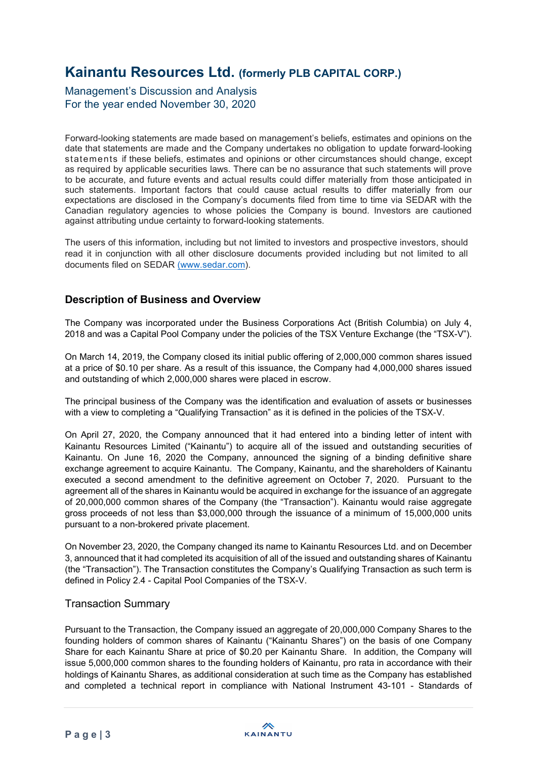Management's Discussion and Analysis For the year ended November 30, 2020

Forward-looking statements are made based on management's beliefs, estimates and opinions on the date that statements are made and the Company undertakes no obligation to update forward-looking statements if these beliefs, estimates and opinions or other circumstances should change, except as required by applicable securities laws. There can be no assurance that such statements will prove to be accurate, and future events and actual results could differ materially from those anticipated in such statements. Important factors that could cause actual results to differ materially from our expectations are disclosed in the Company's documents filed from time to time via SEDAR with the Canadian regulatory agencies to whose policies the Company is bound. Investors are cautioned against attributing undue certainty to forward-looking statements.

The users of this information, including but not limited to investors and prospective investors, should read it in conjunction with all other disclosure documents provided including but not limited to all documents filed on SEDAR (www.sedar.com).

## Description of Business and Overview

The Company was incorporated under the Business Corporations Act (British Columbia) on July 4, 2018 and was a Capital Pool Company under the policies of the TSX Venture Exchange (the "TSX-V").

On March 14, 2019, the Company closed its initial public offering of 2,000,000 common shares issued at a price of \$0.10 per share. As a result of this issuance, the Company had 4,000,000 shares issued and outstanding of which 2,000,000 shares were placed in escrow.

The principal business of the Company was the identification and evaluation of assets or businesses with a view to completing a "Qualifying Transaction" as it is defined in the policies of the TSX-V.

On April 27, 2020, the Company announced that it had entered into a binding letter of intent with Kainantu Resources Limited ("Kainantu") to acquire all of the issued and outstanding securities of Kainantu. On June 16, 2020 the Company, announced the signing of a binding definitive share exchange agreement to acquire Kainantu. The Company, Kainantu, and the shareholders of Kainantu executed a second amendment to the definitive agreement on October 7, 2020. Pursuant to the agreement all of the shares in Kainantu would be acquired in exchange for the issuance of an aggregate of 20,000,000 common shares of the Company (the "Transaction"). Kainantu would raise aggregate gross proceeds of not less than \$3,000,000 through the issuance of a minimum of 15,000,000 units pursuant to a non-brokered private placement.

On November 23, 2020, the Company changed its name to Kainantu Resources Ltd. and on December 3, announced that it had completed its acquisition of all of the issued and outstanding shares of Kainantu (the "Transaction"). The Transaction constitutes the Company's Qualifying Transaction as such term is defined in Policy 2.4 - Capital Pool Companies of the TSX-V.

### Transaction Summary

Pursuant to the Transaction, the Company issued an aggregate of 20,000,000 Company Shares to the founding holders of common shares of Kainantu ("Kainantu Shares") on the basis of one Company Share for each Kainantu Share at price of \$0.20 per Kainantu Share. In addition, the Company will issue 5,000,000 common shares to the founding holders of Kainantu, pro rata in accordance with their holdings of Kainantu Shares, as additional consideration at such time as the Company has established and completed a technical report in compliance with National Instrument 43-101 - Standards of

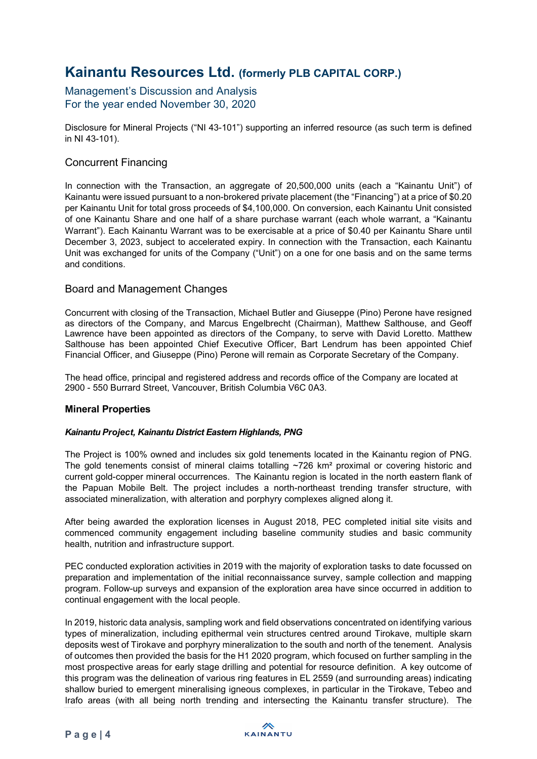### Management's Discussion and Analysis For the year ended November 30, 2020

Disclosure for Mineral Projects ("NI 43-101") supporting an inferred resource (as such term is defined in NI 43-101).

### Concurrent Financing

In connection with the Transaction, an aggregate of 20,500,000 units (each a "Kainantu Unit") of Kainantu were issued pursuant to a non-brokered private placement (the "Financing") at a price of \$0.20 per Kainantu Unit for total gross proceeds of \$4,100,000. On conversion, each Kainantu Unit consisted of one Kainantu Share and one half of a share purchase warrant (each whole warrant, a "Kainantu Warrant"). Each Kainantu Warrant was to be exercisable at a price of \$0.40 per Kainantu Share until December 3, 2023, subject to accelerated expiry. In connection with the Transaction, each Kainantu Unit was exchanged for units of the Company ("Unit") on a one for one basis and on the same terms and conditions.

### Board and Management Changes

Concurrent with closing of the Transaction, Michael Butler and Giuseppe (Pino) Perone have resigned as directors of the Company, and Marcus Engelbrecht (Chairman), Matthew Salthouse, and Geoff Lawrence have been appointed as directors of the Company, to serve with David Loretto. Matthew Salthouse has been appointed Chief Executive Officer, Bart Lendrum has been appointed Chief Financial Officer, and Giuseppe (Pino) Perone will remain as Corporate Secretary of the Company.

The head office, principal and registered address and records office of the Company are located at 2900 - 550 Burrard Street, Vancouver, British Columbia V6C 0A3.

### Mineral Properties

#### Kainantu Project, Kainantu District Eastern Highlands, PNG

The Project is 100% owned and includes six gold tenements located in the Kainantu region of PNG. The gold tenements consist of mineral claims totalling  $\sim$ 726 km<sup>2</sup> proximal or covering historic and current gold-copper mineral occurrences. The Kainantu region is located in the north eastern flank of the Papuan Mobile Belt. The project includes a north-northeast trending transfer structure, with associated mineralization, with alteration and porphyry complexes aligned along it.

After being awarded the exploration licenses in August 2018, PEC completed initial site visits and commenced community engagement including baseline community studies and basic community health, nutrition and infrastructure support.

PEC conducted exploration activities in 2019 with the majority of exploration tasks to date focussed on preparation and implementation of the initial reconnaissance survey, sample collection and mapping program. Follow-up surveys and expansion of the exploration area have since occurred in addition to continual engagement with the local people.

In 2019, historic data analysis, sampling work and field observations concentrated on identifying various types of mineralization, including epithermal vein structures centred around Tirokave, multiple skarn deposits west of Tirokave and porphyry mineralization to the south and north of the tenement. Analysis of outcomes then provided the basis for the H1 2020 program, which focused on further sampling in the most prospective areas for early stage drilling and potential for resource definition. A key outcome of this program was the delineation of various ring features in EL 2559 (and surrounding areas) indicating shallow buried to emergent mineralising igneous complexes, in particular in the Tirokave, Tebeo and Irafo areas (with all being north trending and intersecting the Kainantu transfer structure). The



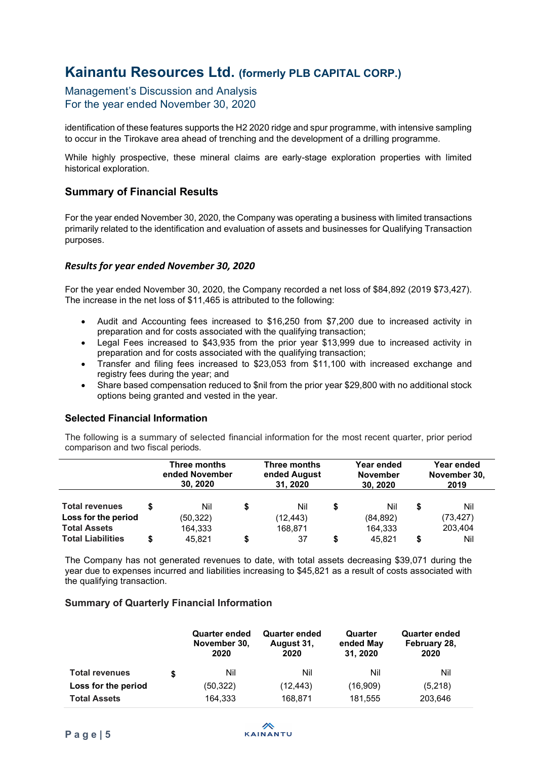Management's Discussion and Analysis For the year ended November 30, 2020

identification of these features supports the H2 2020 ridge and spur programme, with intensive sampling to occur in the Tirokave area ahead of trenching and the development of a drilling programme.

While highly prospective, these mineral claims are early-stage exploration properties with limited historical exploration.

### Summary of Financial Results

For the year ended November 30, 2020, the Company was operating a business with limited transactions primarily related to the identification and evaluation of assets and businesses for Qualifying Transaction purposes.

#### Results for year ended November 30, 2020

For the year ended November 30, 2020, the Company recorded a net loss of \$84,892 (2019 \$73,427). The increase in the net loss of \$11,465 is attributed to the following:

- Audit and Accounting fees increased to \$16,250 from \$7,200 due to increased activity in preparation and for costs associated with the qualifying transaction;
- Legal Fees increased to \$43,935 from the prior year \$13,999 due to increased activity in preparation and for costs associated with the qualifying transaction;
- Transfer and filing fees increased to \$23,053 from \$11,100 with increased exchange and registry fees during the year; and
- Share based compensation reduced to \$nil from the prior year \$29,800 with no additional stock options being granted and vested in the year.

### Selected Financial Information

The following is a summary of selected financial information for the most recent quarter, prior period comparison and two fiscal periods.

|                                            | Three months<br>ended November<br>30, 2020 |    | Three months<br>ended August<br>31, 2020 |   | Year ended<br><b>November</b><br>30, 2020 | Year ended<br>November 30,<br>2019 |
|--------------------------------------------|--------------------------------------------|----|------------------------------------------|---|-------------------------------------------|------------------------------------|
| <b>Total revenues</b>                      | Nil                                        | \$ | Nil                                      | S | Nil                                       | \$<br>Nil                          |
| Loss for the period<br><b>Total Assets</b> | (50, 322)<br>164,333                       |    | (12, 443)<br>168,871                     |   | (84, 892)<br>164,333                      | (73,427)<br>203,404                |
| <b>Total Liabilities</b>                   | 45.821                                     | S  | 37                                       |   | 45.821                                    | Nil                                |

The Company has not generated revenues to date, with total assets decreasing \$39,071 during the year due to expenses incurred and liabilities increasing to \$45,821 as a result of costs associated with the qualifying transaction.

#### Summary of Quarterly Financial Information

|                       | <b>Quarter ended</b><br>November 30,<br>2020 | <b>Quarter ended</b><br>August 31,<br>2020 | Quarter<br>ended May<br>31, 2020 | <b>Quarter ended</b><br>February 28,<br>2020 |
|-----------------------|----------------------------------------------|--------------------------------------------|----------------------------------|----------------------------------------------|
| <b>Total revenues</b> | Nil                                          | Nil                                        | Nil                              | Nil                                          |
| Loss for the period   | (50,322)                                     | (12, 443)                                  | (16,909)                         | (5,218)                                      |
| <b>Total Assets</b>   | 164.333                                      | 168.871                                    | 181,555                          | 203,646                                      |

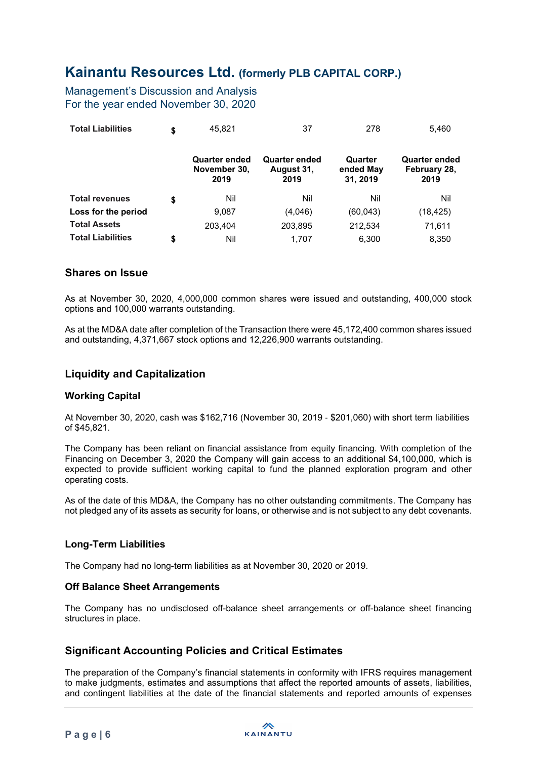Management's Discussion and Analysis For the year ended November 30, 2020

| <b>Total Liabilities</b> | \$<br>45.821                          | 37                                         | 278                              | 5,460                                 |
|--------------------------|---------------------------------------|--------------------------------------------|----------------------------------|---------------------------------------|
|                          | Quarter ended<br>November 30,<br>2019 | <b>Quarter ended</b><br>August 31,<br>2019 | Quarter<br>ended May<br>31, 2019 | Quarter ended<br>February 28,<br>2019 |
| <b>Total revenues</b>    | \$<br>Nil                             | Nil                                        | Nil                              | Nil                                   |
| Loss for the period      | 9,087                                 | (4,046)                                    | (60, 043)                        | (18,425)                              |
| <b>Total Assets</b>      | 203.404                               | 203,895                                    | 212,534                          | 71,611                                |
| <b>Total Liabilities</b> | \$<br>Nil                             | 1.707                                      | 6.300                            | 8,350                                 |

### Shares on Issue

As at November 30, 2020, 4,000,000 common shares were issued and outstanding, 400,000 stock options and 100,000 warrants outstanding.

As at the MD&A date after completion of the Transaction there were 45,172,400 common shares issued and outstanding, 4,371,667 stock options and 12,226,900 warrants outstanding.

### Liquidity and Capitalization

#### Working Capital

At November 30, 2020, cash was \$162,716 (November 30, 2019 ‐ \$201,060) with short term liabilities of \$45,821.

The Company has been reliant on financial assistance from equity financing. With completion of the Financing on December 3, 2020 the Company will gain access to an additional \$4,100,000, which is expected to provide sufficient working capital to fund the planned exploration program and other operating costs.

As of the date of this MD&A, the Company has no other outstanding commitments. The Company has not pledged any of its assets as security for loans, or otherwise and is not subject to any debt covenants.

### Long-Term Liabilities

The Company had no long-term liabilities as at November 30, 2020 or 2019.

### Off Balance Sheet Arrangements

The Company has no undisclosed off-balance sheet arrangements or off-balance sheet financing structures in place.

## Significant Accounting Policies and Critical Estimates

The preparation of the Company's financial statements in conformity with IFRS requires management to make judgments, estimates and assumptions that affect the reported amounts of assets, liabilities, and contingent liabilities at the date of the financial statements and reported amounts of expenses

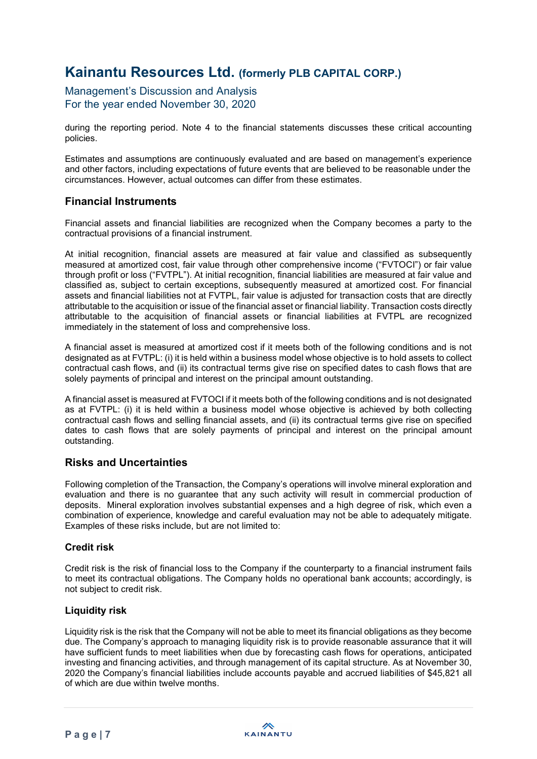Management's Discussion and Analysis For the year ended November 30, 2020

during the reporting period. Note 4 to the financial statements discusses these critical accounting policies.

Estimates and assumptions are continuously evaluated and are based on management's experience and other factors, including expectations of future events that are believed to be reasonable under the circumstances. However, actual outcomes can differ from these estimates.

## Financial Instruments

Financial assets and financial liabilities are recognized when the Company becomes a party to the contractual provisions of a financial instrument.

At initial recognition, financial assets are measured at fair value and classified as subsequently measured at amortized cost, fair value through other comprehensive income ("FVTOCI") or fair value through profit or loss ("FVTPL"). At initial recognition, financial liabilities are measured at fair value and classified as, subject to certain exceptions, subsequently measured at amortized cost. For financial assets and financial liabilities not at FVTPL, fair value is adjusted for transaction costs that are directly attributable to the acquisition or issue of the financial asset or financial liability. Transaction costs directly attributable to the acquisition of financial assets or financial liabilities at FVTPL are recognized immediately in the statement of loss and comprehensive loss.

A financial asset is measured at amortized cost if it meets both of the following conditions and is not designated as at FVTPL: (i) it is held within a business model whose objective is to hold assets to collect contractual cash flows, and (ii) its contractual terms give rise on specified dates to cash flows that are solely payments of principal and interest on the principal amount outstanding.

A financial asset is measured at FVTOCI if it meets both of the following conditions and is not designated as at FVTPL: (i) it is held within a business model whose objective is achieved by both collecting contractual cash flows and selling financial assets, and (ii) its contractual terms give rise on specified dates to cash flows that are solely payments of principal and interest on the principal amount outstanding.

## Risks and Uncertainties

Following completion of the Transaction, the Company's operations will involve mineral exploration and evaluation and there is no guarantee that any such activity will result in commercial production of deposits. Mineral exploration involves substantial expenses and a high degree of risk, which even a combination of experience, knowledge and careful evaluation may not be able to adequately mitigate. Examples of these risks include, but are not limited to:

### Credit risk

Credit risk is the risk of financial loss to the Company if the counterparty to a financial instrument fails to meet its contractual obligations. The Company holds no operational bank accounts; accordingly, is not subject to credit risk.

### Liquidity risk

Liquidity risk is the risk that the Company will not be able to meet its financial obligations as they become due. The Company's approach to managing liquidity risk is to provide reasonable assurance that it will have sufficient funds to meet liabilities when due by forecasting cash flows for operations, anticipated investing and financing activities, and through management of its capital structure. As at November 30, 2020 the Company's financial liabilities include accounts payable and accrued liabilities of \$45,821 all of which are due within twelve months.